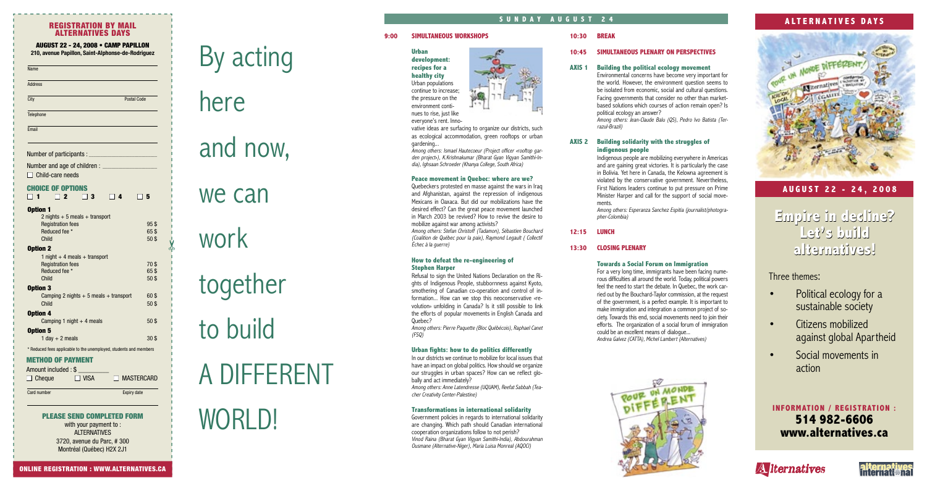#### **9:00 SIMULTANEOUS WORKSHOPS**

#### **Urban development: recipes for a healthy city**  Urban populations continue to increase; the pressure on the environment continues to rise, just like everyone's rent. Inno-

vative ideas are surfacing to organize our districts, such as ecological accommodation, green rooftops or urban gardening...

Among others: Ismael Hautecoeur (Project officer «rooftop garden project»), K.Krishnakumar (Bharat Gyan Vigyan Samithi-India), Ighsaan Schroeder (Khanya College, South Africa)

#### **Peace movement in Quebec: where are we?**

Quebeckers protested en masse against the wars in Iraq and Afghanistan, against the repression of indigenous Mexicans in Oaxaca. But did our mobilizations have the desired effect? Can the great peace movement launched in March 2003 be revived? How to revive the desire to mobilize against war among activists?

Among others: Stefan Christoff (Tadamon), Sébastien Bouchard (Coalition de Québec pour la paix), Raymond Legault ( Collectif Échec à la guerre)

#### **How to defeat the re-engineering of Stephen Harper**

Refusal to sign the United Nations Declaration on the Rights of Indigenous People, stubbornness against Kyoto, smothering of Canadian co-operation and control of information... How can we stop this neoconservative «revolution» unfolding in Canada? Is it still possible to link the efforts of popular movements in English Canada and Quebec?

Among others: Pierre Paquette (Bloc Québécois), Raphael Canet (FSQ)

#### **Urban fights: how to do politics differently**

In our districts we continue to mobilize for local issues that have an impact on global politics. How should we organize our struggles in urban spaces? How can we reflect globally and act immediately?

Among others: Anne Latendresse (UQUAM), Reefat Sabbah (Teacher Creativity Center-Palestine)

#### **Transformations in international solidarity**

#### CHOICE OF OPTIONS  $\Box$  1  $\Box$  2  $\Box$  3  $\Box$  4  $\Box$  5

Government policies in regards to international solidarity are changing. Which path should Canadian international cooperation organizations follow to not perish? Vinod Raina (Bharat Gyan Vigyan Samithi-India), Abdourahman Ousmane (Alternative-Niger), Maria Luisa Monreal (AQOCI)



### **10:45 SIMULTANEOUS PLENARY ON PERSPECTIVES**

### **AXIS 1 Building the political ecology movement**

- Political ecology for a sustainable society
- Citizens mobilized against global Apartheid
- Social movements in action

Environmental concerns have become very important for the world. However, the environment question seems to be isolated from economic, social and cultural questions. Facing governments that consider no other than marketbased solutions which courses of action remain open? Is political ecology an answer? Among others: Jean-Claude Balu (QS), Pedro Ivo Batista (Terrazul-Brazil)

#### **AXIS 2 Building solidarity with the struggles of indigenous people**

Indigenous people are mobilizing everywhere in Americas and are gaining great victories. It is particularly the case in Bolivia. Yet here in Canada, the Kelowna agreement is violated by the conservative government. Nevertheless, First Nations leaders continue to put pressure on Prime Minister Harper and call for the support of social movements. Among others: Esperanza Sanchez Espitia (journalist/photogra-

pher-Colombia)

### **12:15 LUNCH**

#### **13:30 CLOSING PLENARY**

#### **Towards a Social Forum on Immigration**

For a very long time, immigrants have been facing numerous difficulties all around the world. Today, political powers feel the need to start the debate. In Quebec, the work carried out by the Bouchard-Taylor commission, at the request of the government, is a perfect example. It is important to make immigration and integration a common project of society. Towards this end, social movements need to join their efforts. The organization of a social forum of immigration could be an excellent means of dialogue... Andrea Galvez (CATTA), Michel Lambert (Alternatives)



#### REGISTRATION BY MAIL ALTERNATIVES DAYS

| <b>Option 1</b>                           |                 |
|-------------------------------------------|-----------------|
| 2 nights $+5$ meals $+$ transport         |                 |
| <b>Registration fees</b>                  | 95\$            |
| Reduced fee *                             | 65\$            |
| Child                                     | 50\$            |
| <b>Option 2</b>                           |                 |
| 1 night $+$ 4 meals $+$ transport         |                 |
| <b>Registration fees</b>                  | 70\$            |
| Reduced fee *                             | 65\$            |
| Child                                     | 50\$            |
| <b>Option 3</b>                           |                 |
| Camping 2 nights $+5$ meals $+$ transport | 60\$            |
| Child                                     | 50\$            |
| Option 4                                  |                 |
| Camping 1 night $+$ 4 meals               | 50 <sup>3</sup> |
| Option 5                                  |                 |
| 1 day $+$ 2 meals                         | 30 <sup>3</sup> |
|                                           |                 |

\* Reduced fees applicable to the unemployed, students and members

## **A L T E R N A T I V E S D A Y S**







**INFORMATION / REGISTRATION : 514 982-6606 www.alternatives.ca**

**A Iternatives** 



## Three themes:

**S U N D A Y A U G U S T 2 4**

# By acting

here

# and now,

## we can

work

# together to build A DIFFERENT

#### METHOD OF PAYMENT

| Amount included: \$ |             |                   |
|---------------------|-------------|-------------------|
| $\Box$ Cheque       | $\Box$ VISA | $\Box$ MASTERCARD |
| Card number         |             | Expiry date       |

## PLEASE SEND COMPLETED FORM<br>with your payment to : with your payment to:

ALTERNATIVES  $3720$ , avenue du Parc, # $300$ Montréal (Québec) H2X 2J1

## AUGUST 22 - 24, 2008 • CAMP PAPILLON

**210, avenue Papillon, Saint-Alphonse-de-Rodriguez**

| Name                                                              |                    |
|-------------------------------------------------------------------|--------------------|
| <b>Address</b>                                                    |                    |
| City                                                              | <b>Postal Code</b> |
| Telephone                                                         |                    |
| Email                                                             |                    |
|                                                                   |                    |
|                                                                   |                    |
| Number and age of children : ______________<br>□ Child-care needs |                    |

## **A U G U S T 2 2 - 2 4 , 2 0 0 8**

## **Empire in decline? Empire in decline? Let's build alternatives! Let's buildalternatives!**